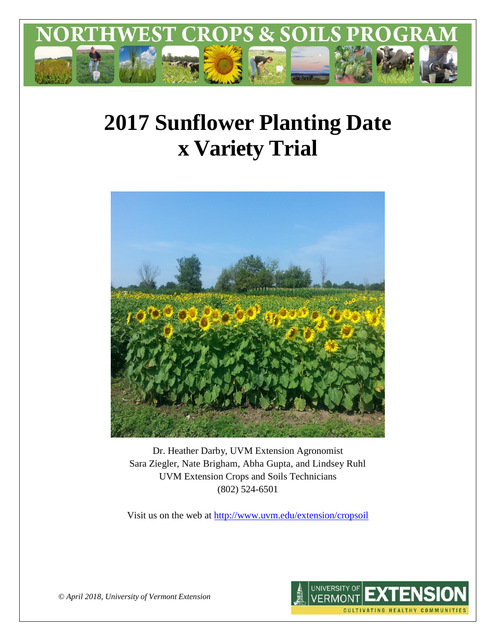

# **2017 Sunflower Planting Date x Variety Trial**



Dr. Heather Darby, UVM Extension Agronomist Sara Ziegler, Nate Brigham, Abha Gupta, and Lindsey Ruhl UVM Extension Crops and Soils Technicians (802) 524-6501

Visit us on the web at<http://www.uvm.edu/extension/cropsoil>



*© April 2018, University of Vermont Extension*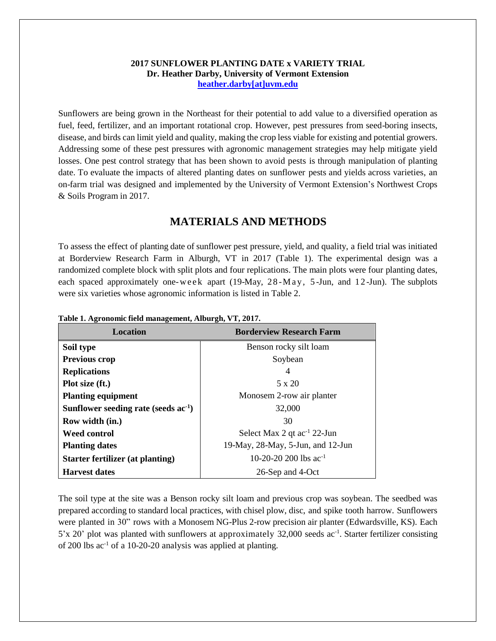#### **2017 SUNFLOWER PLANTING DATE x VARIETY TRIAL Dr. Heather Darby, University of Vermont Extension [heather.darby\[at\]uvm.edu](mailto:heather.darby@uvm.edu)**

Sunflowers are being grown in the Northeast for their potential to add value to a diversified operation as fuel, feed, fertilizer, and an important rotational crop. However, pest pressures from seed-boring insects, disease, and birds can limit yield and quality, making the crop less viable for existing and potential growers. Addressing some of these pest pressures with agronomic management strategies may help mitigate yield losses. One pest control strategy that has been shown to avoid pests is through manipulation of planting date. To evaluate the impacts of altered planting dates on sunflower pests and yields across varieties, an on-farm trial was designed and implemented by the University of Vermont Extension's Northwest Crops & Soils Program in 2017.

# **MATERIALS AND METHODS**

To assess the effect of planting date of sunflower pest pressure, yield, and quality, a field trial was initiated at Borderview Research Farm in Alburgh, VT in 2017 (Table 1). The experimental design was a randomized complete block with split plots and four replications. The main plots were four planting dates, each spaced approximately one-week apart (19-May,  $28-May$ ,  $5-Jun$ , and  $12-Jun$ ). The subplots were six varieties whose agronomic information is listed in Table 2.

| Location                               | <b>Borderview Research Farm</b>         |
|----------------------------------------|-----------------------------------------|
| Soil type                              | Benson rocky silt loam                  |
| <b>Previous crop</b>                   | Soybean                                 |
| <b>Replications</b>                    | 4                                       |
| Plot size (ft.)                        | $5 \times 20$                           |
| <b>Planting equipment</b>              | Monosem 2-row air planter               |
| Sunflower seeding rate (seeds $ac-1$ ) | 32,000                                  |
| Row width (in.)                        | 30                                      |
| <b>Weed control</b>                    | Select Max 2 qt ac <sup>-1</sup> 22-Jun |
| <b>Planting dates</b>                  | 19-May, 28-May, 5-Jun, and 12-Jun       |
| Starter fertilizer (at planting)       | 10-20-20 200 lbs $ac^{-1}$              |
| <b>Harvest dates</b>                   | 26-Sep and 4-Oct                        |

### **Table 1. Agronomic field management, Alburgh, VT, 2017.**

The soil type at the site was a Benson rocky silt loam and previous crop was soybean. The seedbed was prepared according to standard local practices, with chisel plow, disc, and spike tooth harrow. Sunflowers were planted in 30" rows with a Monosem NG-Plus 2-row precision air planter (Edwardsville, KS). Each 5'x 20' plot was planted with sunflowers at approximately 32,000 seeds ac<sup>-1</sup>. Starter fertilizer consisting of 200 lbs  $ac^{-1}$  of a 10-20-20 analysis was applied at planting.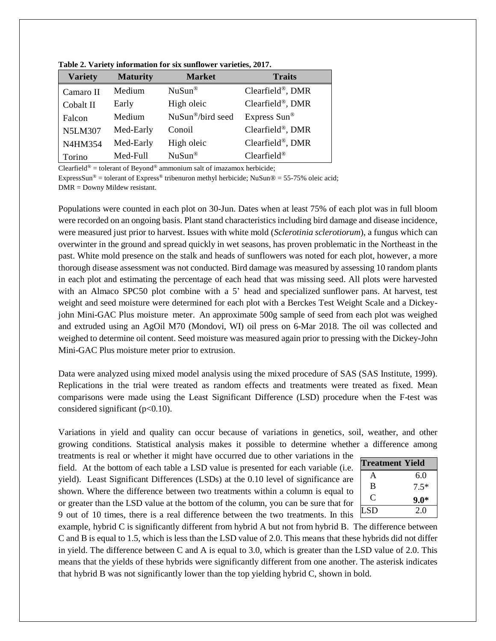| <b>Variety</b> | <b>Maturity</b> | <b>Market</b>                 | <b>Traits</b>    |
|----------------|-----------------|-------------------------------|------------------|
| Camaro II      | Medium          | $NuSun^{\circledR}$           | Clearfield®, DMR |
| Cobalt II      | Early           | High oleic                    | Clearfield®, DMR |
| Falcon         | Medium          | NuSun <sup>®</sup> /bird seed | Express Sun®     |
| <b>N5LM307</b> | Med-Early       | Conoil                        | Clearfield®, DMR |
| N4HM354        | Med-Early       | High oleic                    | Clearfield®, DMR |
| Torino         | Med-Full        | $NuSun^{\circledR}$           | $Clearfield^@$   |

**Table 2. Variety information for six sunflower varieties, 2017.**

Clearfield<sup>®</sup> = tolerant of Beyond<sup>®</sup> ammonium salt of imazamox herbicide;

ExpressSun® = tolerant of Express® tribenuron methyl herbicide; NuSun® = 55-75% oleic acid; DMR = Downy Mildew resistant.

Populations were counted in each plot on 30-Jun. Dates when at least 75% of each plot was in full bloom were recorded on an ongoing basis. Plant stand characteristics including bird damage and disease incidence, were measured just prior to harvest. Issues with white mold (*Sclerotinia sclerotiorum*), a fungus which can overwinter in the ground and spread quickly in wet seasons, has proven problematic in the Northeast in the past. White mold presence on the stalk and heads of sunflowers was noted for each plot, however, a more thorough disease assessment was not conducted. Bird damage was measured by assessing 10 random plants in each plot and estimating the percentage of each head that was missing seed. All plots were harvested with an Almaco SPC50 plot combine with a 5' head and specialized sunflower pans. At harvest, test weight and seed moisture were determined for each plot with a Berckes Test Weight Scale and a Dickeyjohn Mini-GAC Plus moisture meter. An approximate 500g sample of seed from each plot was weighed and extruded using an AgOil M70 (Mondovi, WI) oil press on 6-Mar 2018. The oil was collected and weighed to determine oil content. Seed moisture was measured again prior to pressing with the Dickey-John Mini-GAC Plus moisture meter prior to extrusion.

Data were analyzed using mixed model analysis using the mixed procedure of SAS (SAS Institute, 1999). Replications in the trial were treated as random effects and treatments were treated as fixed. Mean comparisons were made using the Least Significant Difference (LSD) procedure when the F-test was considered significant ( $p<0.10$ ).

Variations in yield and quality can occur because of variations in genetics, soil, weather, and other growing conditions. Statistical analysis makes it possible to determine whether a difference among

treatments is real or whether it might have occurred due to other variations in the field. At the bottom of each table a LSD value is presented for each variable (i.e. yield). Least Significant Differences (LSDs) at the 0.10 level of significance are shown. Where the difference between two treatments within a column is equal to or greater than the LSD value at the bottom of the column, you can be sure that for 9 out of 10 times, there is a real difference between the two treatments. In this

| <b>Treatment Yield</b> |        |  |  |
|------------------------|--------|--|--|
| А                      | 6.0    |  |  |
| B                      | $7.5*$ |  |  |
| C                      | $9.0*$ |  |  |
| <b>LSD</b>             | 20     |  |  |

example, hybrid C is significantly different from hybrid A but not from hybrid B. The difference between C and B is equal to 1.5, which is less than the LSD value of 2.0. This means that these hybrids did not differ in yield. The difference between C and A is equal to 3.0, which is greater than the LSD value of 2.0. This means that the yields of these hybrids were significantly different from one another. The asterisk indicates that hybrid B was not significantly lower than the top yielding hybrid C, shown in bold.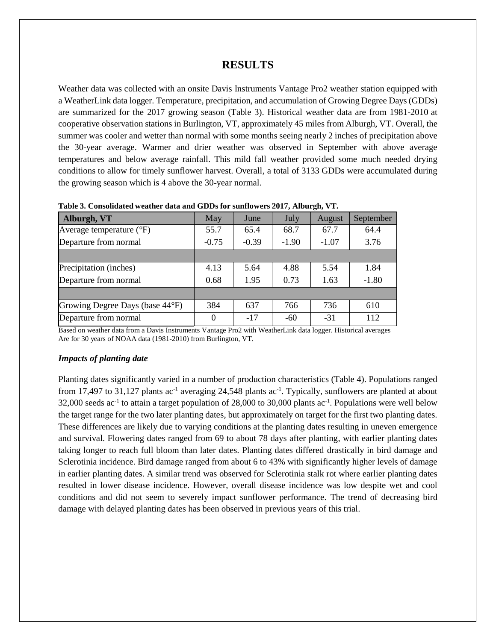## **RESULTS**

Weather data was collected with an onsite Davis Instruments Vantage Pro2 weather station equipped with a WeatherLink data logger. Temperature, precipitation, and accumulation of Growing Degree Days (GDDs) are summarized for the 2017 growing season (Table 3). Historical weather data are from 1981-2010 at cooperative observation stations in Burlington, VT, approximately 45 miles from Alburgh, VT. Overall, the summer was cooler and wetter than normal with some months seeing nearly 2 inches of precipitation above the 30-year average. Warmer and drier weather was observed in September with above average temperatures and below average rainfall. This mild fall weather provided some much needed drying conditions to allow for timely sunflower harvest. Overall, a total of 3133 GDDs were accumulated during the growing season which is 4 above the 30-year normal.

| Alburgh, VT                       | May     | June    | July    | August  | September |
|-----------------------------------|---------|---------|---------|---------|-----------|
| Average temperature $(^{\circ}F)$ | 55.7    | 65.4    | 68.7    | 67.7    | 64.4      |
| Departure from normal             | $-0.75$ | $-0.39$ | $-1.90$ | $-1.07$ | 3.76      |
|                                   |         |         |         |         |           |
| Precipitation (inches)            | 4.13    | 5.64    | 4.88    | 5.54    | 1.84      |
| Departure from normal             | 0.68    | 1.95    | 0.73    | 1.63    | $-1.80$   |
|                                   |         |         |         |         |           |
| Growing Degree Days (base 44°F)   | 384     | 637     | 766     | 736     | 610       |
| Departure from normal             | 0       | $-17$   | $-60$   | $-31$   | 112       |

**Table 3. Consolidated weather data and GDDs for sunflowers 2017, Alburgh, VT.**

Based on weather data from a Davis Instruments Vantage Pro2 with WeatherLink data logger. Historical averages Are for 30 years of NOAA data (1981-2010) from Burlington, VT.

#### *Impacts of planting date*

Planting dates significantly varied in a number of production characteristics (Table 4). Populations ranged from 17,497 to 31,127 plants  $ac^{-1}$  averaging 24,548 plants  $ac^{-1}$ . Typically, sunflowers are planted at about 32,000 seeds ac-1 to attain a target population of 28,000 to 30,000 plants ac-1 . Populations were well below the target range for the two later planting dates, but approximately on target for the first two planting dates. These differences are likely due to varying conditions at the planting dates resulting in uneven emergence and survival. Flowering dates ranged from 69 to about 78 days after planting, with earlier planting dates taking longer to reach full bloom than later dates. Planting dates differed drastically in bird damage and Sclerotinia incidence. Bird damage ranged from about 6 to 43% with significantly higher levels of damage in earlier planting dates. A similar trend was observed for Sclerotinia stalk rot where earlier planting dates resulted in lower disease incidence. However, overall disease incidence was low despite wet and cool conditions and did not seem to severely impact sunflower performance. The trend of decreasing bird damage with delayed planting dates has been observed in previous years of this trial.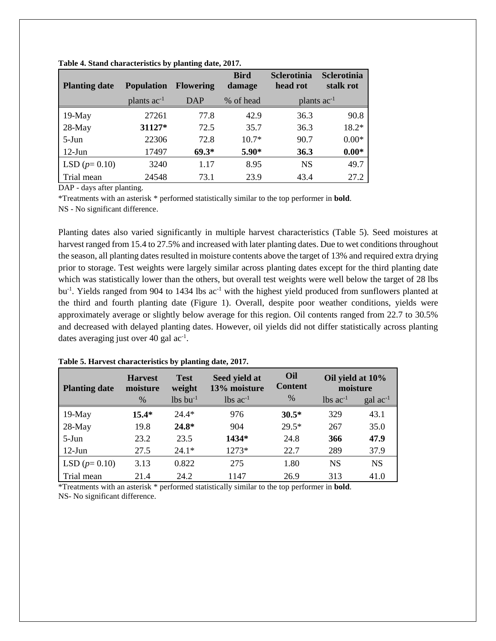| <b>Planting date</b> | <b>Population</b>       | <b>Flowering</b> | <b>Bird</b><br>damage | <b>Sclerotinia</b><br>head rot | <b>Sclerotinia</b><br>stalk rot |
|----------------------|-------------------------|------------------|-----------------------|--------------------------------|---------------------------------|
|                      | plants ac <sup>-1</sup> | DAP              | % of head             | plants ac <sup>-1</sup>        |                                 |
| 19-May               | 27261                   | 77.8             | 42.9                  | 36.3                           | 90.8                            |
| 28-May               | 31127*                  | 72.5             | 35.7                  | 36.3                           | $18.2*$                         |
| 5-Jun                | 22306                   | 72.8             | $10.7*$               | 90.7                           | $0.00*$                         |
| $12-J$ un            | 17497                   | $69.3*$          | $5.90*$               | 36.3                           | $0.00*$                         |
| LSD $(p=0.10)$       | 3240                    | 1.17             | 8.95                  | <b>NS</b>                      | 49.7                            |
| Trial mean           | 24548                   | 73.1             | 23.9                  | 43.4                           | 27.2                            |

| Table 4. Stand characteristics by planting date, 2017. |  |  |
|--------------------------------------------------------|--|--|
|                                                        |  |  |

DAP - days after planting.

\*Treatments with an asterisk \* performed statistically similar to the top performer in **bold**. NS - No significant difference.

Planting dates also varied significantly in multiple harvest characteristics (Table 5). Seed moistures at harvest ranged from 15.4 to 27.5% and increased with later planting dates. Due to wet conditions throughout the season, all planting dates resulted in moisture contents above the target of 13% and required extra drying prior to storage. Test weights were largely similar across planting dates except for the third planting date which was statistically lower than the others, but overall test weights were well below the target of 28 lbs bu<sup>-1</sup>. Yields ranged from 904 to 1434 lbs ac<sup>-1</sup> with the highest yield produced from sunflowers planted at the third and fourth planting date (Figure 1). Overall, despite poor weather conditions, yields were approximately average or slightly below average for this region. Oil contents ranged from 22.7 to 30.5% and decreased with delayed planting dates. However, oil yields did not differ statistically across planting dates averaging just over 40 gal ac<sup>-1</sup>.

| <b>Planting date</b> | <b>Harvest</b><br>moisture | <b>Test</b><br>weight  | Seed yield at<br>13% moisture | Oil<br><b>Content</b> | Oil yield at 10%<br>moisture |                            |
|----------------------|----------------------------|------------------------|-------------------------------|-----------------------|------------------------------|----------------------------|
|                      | $\%$                       | $lbs$ bu <sup>-1</sup> | $lbs$ ac <sup>-1</sup>        | $\%$                  | $lbs$ ac <sup>-1</sup>       | $\rm gal$ ac <sup>-1</sup> |
| $19-May$             | $15.4*$                    | $24.4*$                | 976                           | $30.5*$               | 329                          | 43.1                       |
| $28-May$             | 19.8                       | $24.8*$                | 904                           | $29.5*$               | 267                          | 35.0                       |
| $5-J$ un             | 23.2                       | 23.5                   | 1434*                         | 24.8                  | 366                          | 47.9                       |
| $12$ -Jun            | 27.5                       | $24.1*$                | 1273*                         | 22.7                  | 289                          | 37.9                       |
| LSD $(p=0.10)$       | 3.13                       | 0.822                  | 275                           | 1.80                  | <b>NS</b>                    | <b>NS</b>                  |
| Trial mean           | 21.4                       | 24.2                   | 1147                          | 26.9                  | 313                          | 41.0                       |

**Table 5. Harvest characteristics by planting date, 2017.**

\*Treatments with an asterisk \* performed statistically similar to the top performer in **bold**. NS- No significant difference.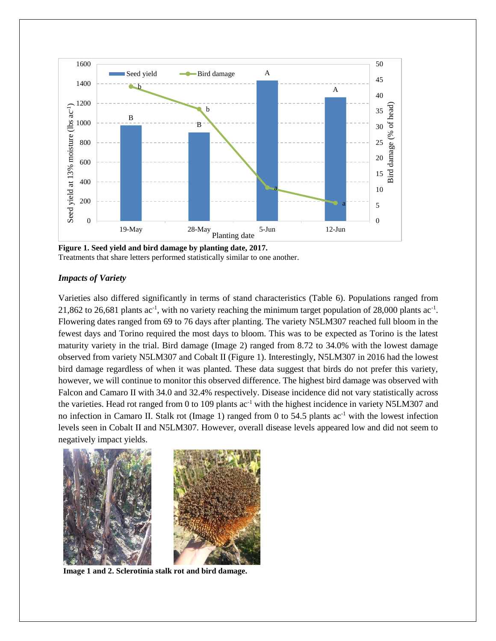

**Figure 1. Seed yield and bird damage by planting date, 2017.** Treatments that share letters performed statistically similar to one another.

## *Impacts of Variety*

Varieties also differed significantly in terms of stand characteristics (Table 6). Populations ranged from 21,862 to 26,681 plants  $ac^{-1}$ , with no variety reaching the minimum target population of 28,000 plants  $ac^{-1}$ . Flowering dates ranged from 69 to 76 days after planting. The variety N5LM307 reached full bloom in the fewest days and Torino required the most days to bloom. This was to be expected as Torino is the latest maturity variety in the trial. Bird damage (Image 2) ranged from 8.72 to 34.0% with the lowest damage observed from variety N5LM307 and Cobalt II (Figure 1). Interestingly, N5LM307 in 2016 had the lowest bird damage regardless of when it was planted. These data suggest that birds do not prefer this variety, however, we will continue to monitor this observed difference. The highest bird damage was observed with Falcon and Camaro II with 34.0 and 32.4% respectively. Disease incidence did not vary statistically across the varieties. Head rot ranged from 0 to 109 plants  $ac^{-1}$  with the highest incidence in variety N5LM307 and no infection in Camaro II. Stalk rot (Image 1) ranged from 0 to  $54.5$  plants ac<sup>-1</sup> with the lowest infection levels seen in Cobalt II and N5LM307. However, overall disease levels appeared low and did not seem to negatively impact yields.



**Image 1 and 2. Sclerotinia stalk rot and bird damage.**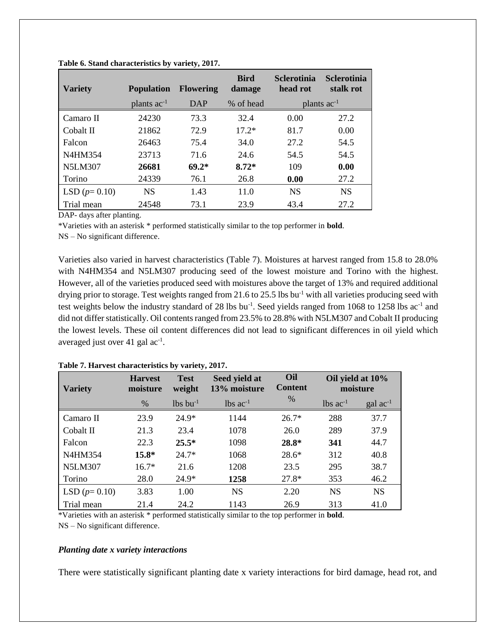| <b>Variety</b> | <b>Population</b> | <b>Flowering</b> | <b>Bird</b><br>damage | <b>Sclerotinia</b><br>head rot | <b>Sclerotinia</b><br>stalk rot |
|----------------|-------------------|------------------|-----------------------|--------------------------------|---------------------------------|
|                | plants $ac^{-1}$  | DAP              | % of head             |                                | plants $ac^{-1}$                |
| Camaro II      | 24230             | 73.3             | 32.4                  | 0.00                           | 27.2                            |
| Cobalt II      | 21862             | 72.9             | $17.2*$               | 81.7                           | 0.00                            |
| Falcon         | 26463             | 75.4             | 34.0                  | 27.2                           | 54.5                            |
| N4HM354        | 23713             | 71.6             | 24.6                  | 54.5                           | 54.5                            |
| <b>N5LM307</b> | 26681             | $69.2*$          | $8.72*$               | 109                            | 0.00                            |
| Torino         | 24339             | 76.1             | 26.8                  | 0.00                           | 27.2                            |
| LSD $(p=0.10)$ | <b>NS</b>         | 1.43             | 11.0                  | <b>NS</b>                      | <b>NS</b>                       |
| Trial mean     | 24548             | 73.1             | 23.9                  | 43.4                           | 27.2                            |

**Table 6. Stand characteristics by variety, 2017.**

DAP- days after planting.

\*Varieties with an asterisk \* performed statistically similar to the top performer in **bold**.

NS – No significant difference.

Varieties also varied in harvest characteristics (Table 7). Moistures at harvest ranged from 15.8 to 28.0% with N4HM354 and N5LM307 producing seed of the lowest moisture and Torino with the highest. However, all of the varieties produced seed with moistures above the target of 13% and required additional drying prior to storage. Test weights ranged from 21.6 to 25.5 lbs bu<sup>-1</sup> with all varieties producing seed with test weights below the industry standard of 28 lbs  $bu^{-1}$ . Seed yields ranged from 1068 to 1258 lbs  $ac^{-1}$  and did not differ statistically. Oil contents ranged from 23.5% to 28.8% with N5LM307 and Cobalt II producing the lowest levels. These oil content differences did not lead to significant differences in oil yield which averaged just over 41 gal ac<sup>-1</sup>.

| <b>Variety</b> | <b>Harvest</b><br>moisture | <b>Test</b><br>weight  | Seed yield at<br>13% moisture |               | Oil yield at 10%<br>moisture |                            |
|----------------|----------------------------|------------------------|-------------------------------|---------------|------------------------------|----------------------------|
|                | %                          | $lbs$ bu <sup>-1</sup> | $lbs$ ac <sup>-1</sup>        | $\frac{0}{0}$ | $lbs$ ac <sup>-1</sup>       | $\rm gal$ ac <sup>-1</sup> |
| Camaro II      | 23.9                       | $24.9*$                | 1144                          | $26.7*$       | 288                          | 37.7                       |
| Cobalt II      | 21.3                       | 23.4                   | 1078                          | 26.0          | 289                          | 37.9                       |
| Falcon         | 22.3                       | $25.5*$                | 1098                          | 28.8*         | 341                          | 44.7                       |
| N4HM354        | $15.8*$                    | $24.7*$                | 1068                          | $28.6*$       | 312                          | 40.8                       |
| <b>N5LM307</b> | $16.7*$                    | 21.6                   | 1208                          | 23.5          | 295                          | 38.7                       |
| Torino         | 28.0                       | $24.9*$                | 1258                          | $27.8*$       | 353                          | 46.2                       |
| LSD $(p=0.10)$ | 3.83                       | 1.00                   | <b>NS</b>                     | 2.20          | <b>NS</b>                    | <b>NS</b>                  |
| Trial mean     | 21.4                       | 24.2                   | 1143                          | 26.9          | 313                          | 41.0                       |

**Table 7. Harvest characteristics by variety, 2017.**

\*Varieties with an asterisk \* performed statistically similar to the top performer in **bold**.

NS – No significant difference.

## *Planting date x variety interactions*

There were statistically significant planting date x variety interactions for bird damage, head rot, and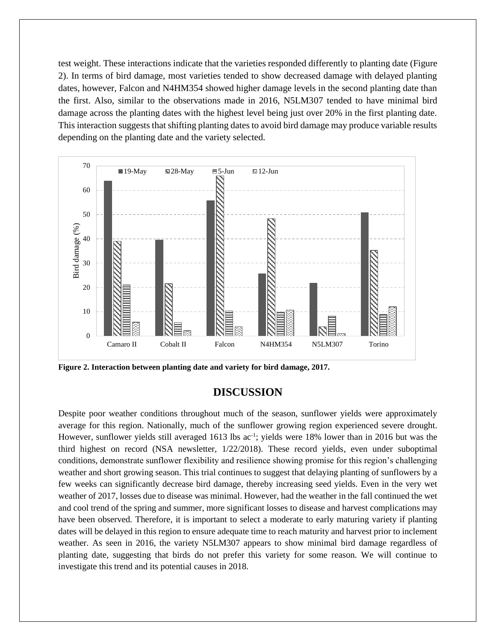test weight. These interactions indicate that the varieties responded differently to planting date (Figure 2). In terms of bird damage, most varieties tended to show decreased damage with delayed planting dates, however, Falcon and N4HM354 showed higher damage levels in the second planting date than the first. Also, similar to the observations made in 2016, N5LM307 tended to have minimal bird damage across the planting dates with the highest level being just over 20% in the first planting date. This interaction suggests that shifting planting dates to avoid bird damage may produce variable results depending on the planting date and the variety selected.



**Figure 2. Interaction between planting date and variety for bird damage, 2017.**

# **DISCUSSION**

Despite poor weather conditions throughout much of the season, sunflower yields were approximately average for this region. Nationally, much of the sunflower growing region experienced severe drought. However, sunflower yields still averaged 1613 lbs ac<sup>-1</sup>; yields were 18% lower than in 2016 but was the third highest on record (NSA newsletter, 1/22/2018). These record yields, even under suboptimal conditions, demonstrate sunflower flexibility and resilience showing promise for this region's challenging weather and short growing season. This trial continues to suggest that delaying planting of sunflowers by a few weeks can significantly decrease bird damage, thereby increasing seed yields. Even in the very wet weather of 2017, losses due to disease was minimal. However, had the weather in the fall continued the wet and cool trend of the spring and summer, more significant losses to disease and harvest complications may have been observed. Therefore, it is important to select a moderate to early maturing variety if planting dates will be delayed in this region to ensure adequate time to reach maturity and harvest prior to inclement weather. As seen in 2016, the variety N5LM307 appears to show minimal bird damage regardless of planting date, suggesting that birds do not prefer this variety for some reason. We will continue to investigate this trend and its potential causes in 2018.